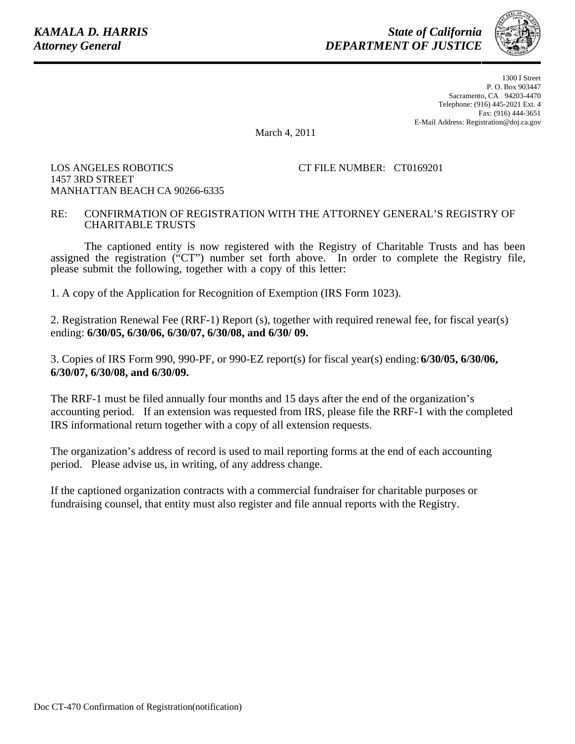*State of California DEPARTMENT OF JUSTICE*



1300 I Street P. O. Box 903447 Sacramento, CA 94203-4470 Telephone: (916) 445-2021 Ext. 4 Fax: (916) 444-3651 E-Mail Address: Registration@doj.ca.gov

March 4, 2011

## LOS ANGELES ROBOTICS 1457 3RD STREET MANHATTAN BEACH CA 90266-6335

## CT FILE NUMBER: CT0169201

## RE: CONFIRMATION OF REGISTRATION WITH THE ATTORNEY GENERAL'S REGISTRY OF CHARITABLE TRUSTS

The captioned entity is now registered with the Registry of Charitable Trusts and has been assigned the registration ("CT") number set forth above. In order to complete the Registry file, please submit the following, together with a copy of this letter:

1. A copy of the Application for Recognition of Exemption (IRS Form 1023).

2. Registration Renewal Fee (RRF-1) Report (s), together with required renewal fee, for fiscal year(s) ending: **6/30/05, 6/30/06, 6/30/07, 6/30/08, and 6/30/ 09.**

3. Copies of IRS Form 990, 990-PF, or 990-EZ report(s) for fiscal year(s) ending: **6/30/05, 6/30/06, 6/30/07, 6/30/08, and 6/30/09.**

The RRF-1 must be filed annually four months and 15 days after the end of the organization's accounting period. If an extension was requested from IRS, please file the RRF-1 with the completed IRS informational return together with a copy of all extension requests.

The organization's address of record is used to mail reporting forms at the end of each accounting period. Please advise us, in writing, of any address change.

If the captioned organization contracts with a commercial fundraiser for charitable purposes or fundraising counsel, that entity must also register and file annual reports with the Registry.